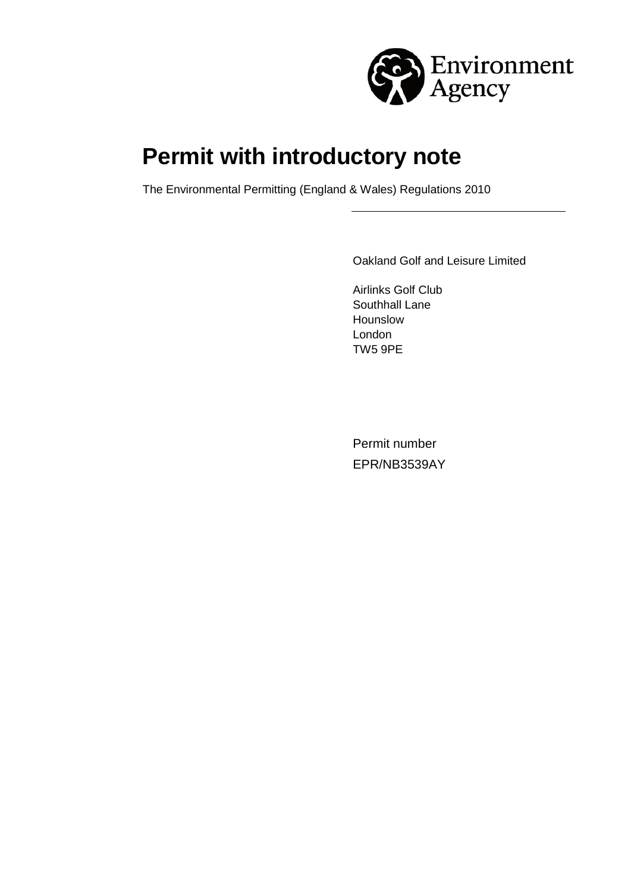

# **Permit with introductory note**

The Environmental Permitting (England & Wales) Regulations 2010

Oakland Golf and Leisure Limited

Airlinks Golf Club Southhall Lane Hounslow London TW5 9PE

Permit number EPR/NB3539AY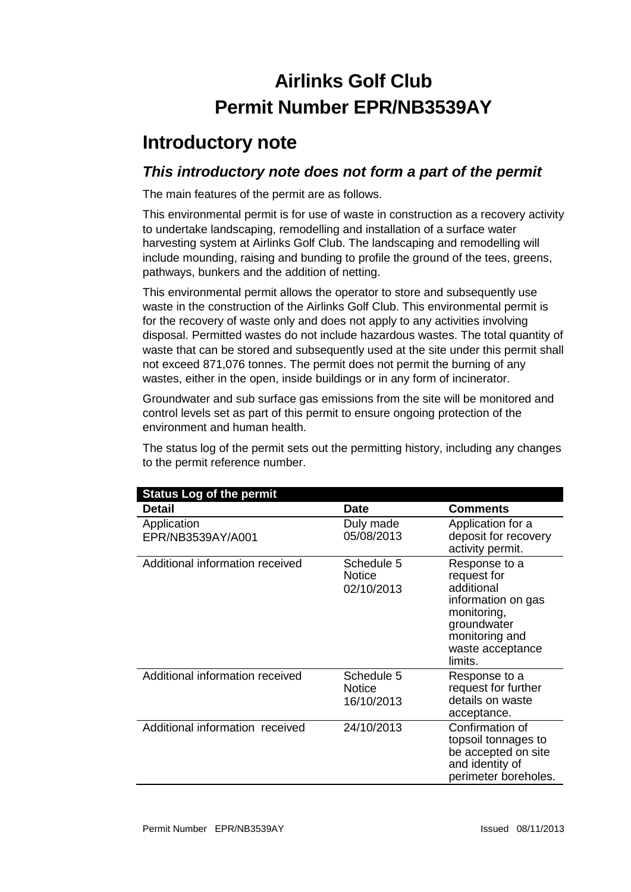# **Airlinks Golf Club Permit Number EPR/NB3539AY**

### **Introductory note**

### *This introductory note does not form a part of the permit*

The main features of the permit are as follows.

This environmental permit is for use of waste in construction as a recovery activity to undertake landscaping, remodelling and installation of a surface water harvesting system at Airlinks Golf Club. The landscaping and remodelling will include mounding, raising and bunding to profile the ground of the tees, greens, pathways, bunkers and the addition of netting.

This environmental permit allows the operator to store and subsequently use waste in the construction of the Airlinks Golf Club. This environmental permit is for the recovery of waste only and does not apply to any activities involving disposal. Permitted wastes do not include hazardous wastes. The total quantity of waste that can be stored and subsequently used at the site under this permit shall not exceed 871,076 tonnes. The permit does not permit the burning of any wastes, either in the open, inside buildings or in any form of incinerator.

Groundwater and sub surface gas emissions from the site will be monitored and control levels set as part of this permit to ensure ongoing protection of the environment and human health.

The status log of the permit sets out the permitting history, including any changes to the permit reference number.

| <b>Status Log of the permit</b>  |                                           |                                                                                                                                                 |  |  |
|----------------------------------|-------------------------------------------|-------------------------------------------------------------------------------------------------------------------------------------------------|--|--|
| Detail                           | <b>Date</b>                               | <b>Comments</b>                                                                                                                                 |  |  |
| Application<br>EPR/NB3539AY/A001 | Duly made<br>05/08/2013                   | Application for a<br>deposit for recovery<br>activity permit.                                                                                   |  |  |
| Additional information received  | Schedule 5<br><b>Notice</b><br>02/10/2013 | Response to a<br>request for<br>additional<br>information on gas<br>monitoring,<br>groundwater<br>monitoring and<br>waste acceptance<br>limits. |  |  |
| Additional information received  | Schedule 5<br><b>Notice</b><br>16/10/2013 | Response to a<br>request for further<br>details on waste<br>acceptance.                                                                         |  |  |
| Additional information received  | 24/10/2013                                | Confirmation of<br>topsoil tonnages to<br>be accepted on site<br>and identity of<br>perimeter boreholes.                                        |  |  |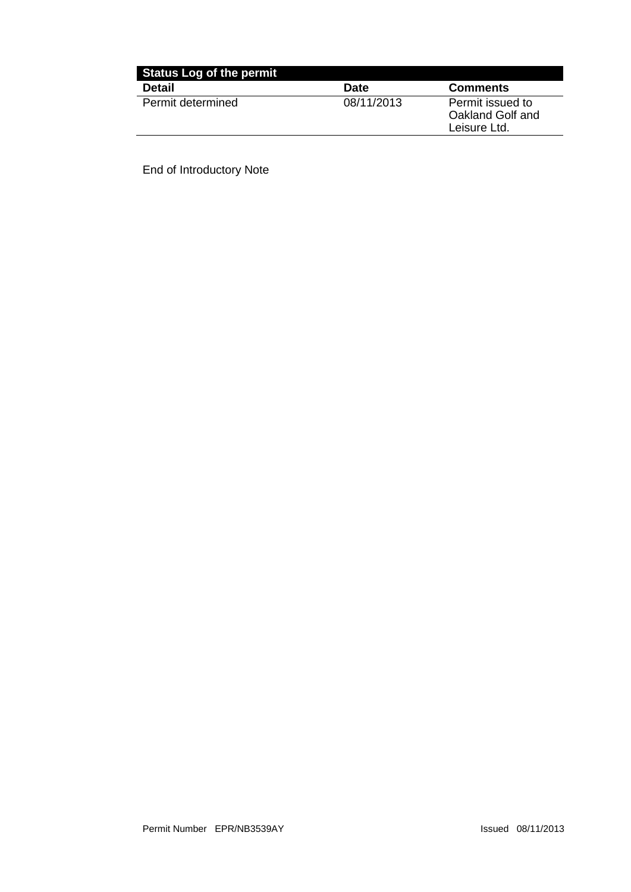| <b>Status Log of the permit</b> |             |                                                      |  |  |
|---------------------------------|-------------|------------------------------------------------------|--|--|
| <b>Detail</b>                   | <b>Date</b> | <b>Comments</b>                                      |  |  |
| Permit determined               | 08/11/2013  | Permit issued to<br>Oakland Golf and<br>Leisure Ltd. |  |  |

End of Introductory Note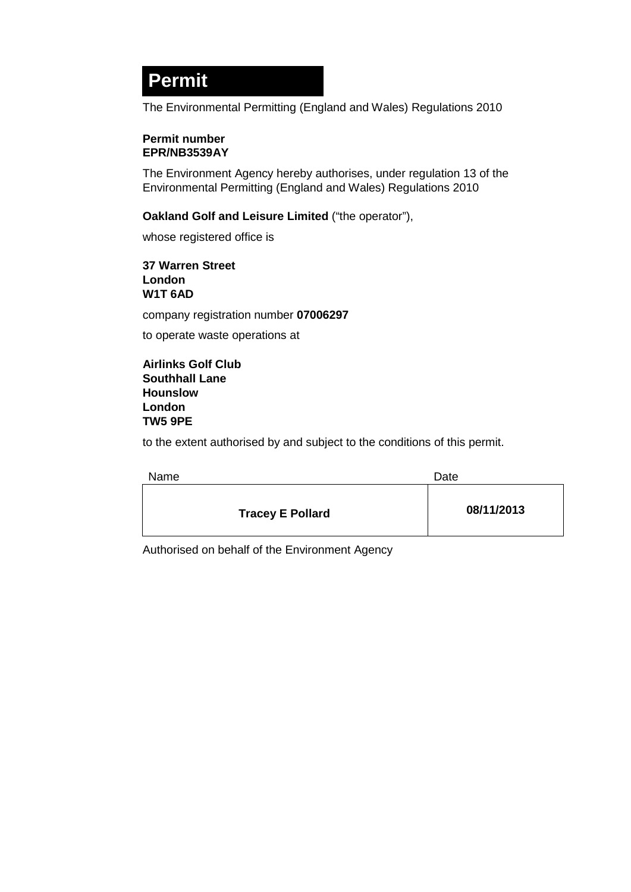## **Permit**

The Environmental Permitting (England and Wales) Regulations 2010

#### **Permit number EPR/NB3539AY**

The Environment Agency hereby authorises, under regulation 13 of the Environmental Permitting (England and Wales) Regulations 2010

#### **Oakland Golf and Leisure Limited** ("the operator"),

whose registered office is

**37 Warren Street London W1T 6AD**

company registration number **07006297**

to operate waste operations at

**Airlinks Golf Club Southhall Lane Hounslow London TW5 9PE**

to the extent authorised by and subject to the conditions of this permit.

| Name                    | Date       |
|-------------------------|------------|
| <b>Tracey E Pollard</b> | 08/11/2013 |

Authorised on behalf of the Environment Agency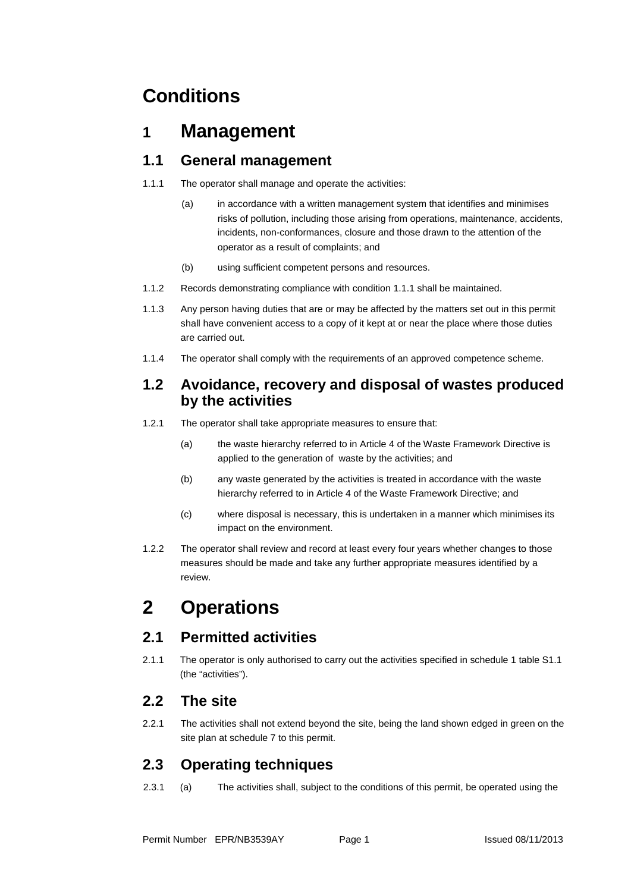## **Conditions**

### **1 Management**

### **1.1 General management**

- 1.1.1 The operator shall manage and operate the activities:
	- (a) in accordance with a written management system that identifies and minimises risks of pollution, including those arising from operations, maintenance, accidents, incidents, non-conformances, closure and those drawn to the attention of the operator as a result of complaints; and
	- (b) using sufficient competent persons and resources.
- 1.1.2 Records demonstrating compliance with condition 1.1.1 shall be maintained.
- 1.1.3 Any person having duties that are or may be affected by the matters set out in this permit shall have convenient access to a copy of it kept at or near the place where those duties are carried out.
- 1.1.4 The operator shall comply with the requirements of an approved competence scheme.

#### **1.2 Avoidance, recovery and disposal of wastes produced by the activities**

- 1.2.1 The operator shall take appropriate measures to ensure that:
	- (a) the waste hierarchy referred to in Article 4 of the Waste Framework Directive is applied to the generation of waste by the activities; and
	- (b) any waste generated by the activities is treated in accordance with the waste hierarchy referred to in Article 4 of the Waste Framework Directive; and
	- (c) where disposal is necessary, this is undertaken in a manner which minimises its impact on the environment.
- 1.2.2 The operator shall review and record at least every four years whether changes to those measures should be made and take any further appropriate measures identified by a review.

## **2 Operations**

### **2.1 Permitted activities**

2.1.1 The operator is only authorised to carry out the activities specified in schedule 1 table S1.1 (the "activities").

#### **2.2 The site**

2.2.1 The activities shall not extend beyond the site, being the land shown edged in green on the site plan at schedule 7 to this permit.

### **2.3 Operating techniques**

2.3.1 (a) The activities shall, subject to the conditions of this permit, be operated using the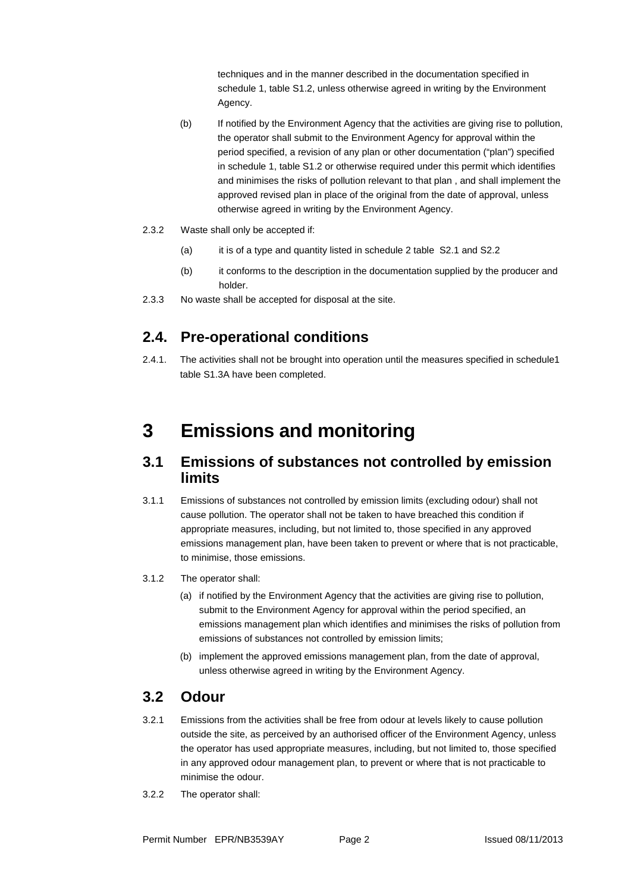techniques and in the manner described in the documentation specified in schedule 1, table S1.2, unless otherwise agreed in writing by the Environment Agency.

- (b) If notified by the Environment Agency that the activities are giving rise to pollution, the operator shall submit to the Environment Agency for approval within the period specified, a revision of any plan or other documentation ("plan") specified in schedule 1, table S1.2 or otherwise required under this permit which identifies and minimises the risks of pollution relevant to that plan , and shall implement the approved revised plan in place of the original from the date of approval, unless otherwise agreed in writing by the Environment Agency.
- 2.3.2 Waste shall only be accepted if:
	- (a) it is of a type and quantity listed in schedule 2 table S2.1 and S2.2
	- (b) it conforms to the description in the documentation supplied by the producer and holder.
- 2.3.3 No waste shall be accepted for disposal at the site.

### **2.4. Pre-operational conditions**

2.4.1. The activities shall not be brought into operation until the measures specified in schedule1 table S1.3A have been completed.

### **3 Emissions and monitoring**

#### **3.1 Emissions of substances not controlled by emission limits**

- 3.1.1 Emissions of substances not controlled by emission limits (excluding odour) shall not cause pollution. The operator shall not be taken to have breached this condition if appropriate measures, including, but not limited to, those specified in any approved emissions management plan, have been taken to prevent or where that is not practicable, to minimise, those emissions.
- 3.1.2 The operator shall:
	- (a) if notified by the Environment Agency that the activities are giving rise to pollution, submit to the Environment Agency for approval within the period specified, an emissions management plan which identifies and minimises the risks of pollution from emissions of substances not controlled by emission limits;
	- (b) implement the approved emissions management plan, from the date of approval, unless otherwise agreed in writing by the Environment Agency.

### **3.2 Odour**

- 3.2.1 Emissions from the activities shall be free from odour at levels likely to cause pollution outside the site, as perceived by an authorised officer of the Environment Agency, unless the operator has used appropriate measures, including, but not limited to, those specified in any approved odour management plan, to prevent or where that is not practicable to minimise the odour.
- 3.2.2 The operator shall: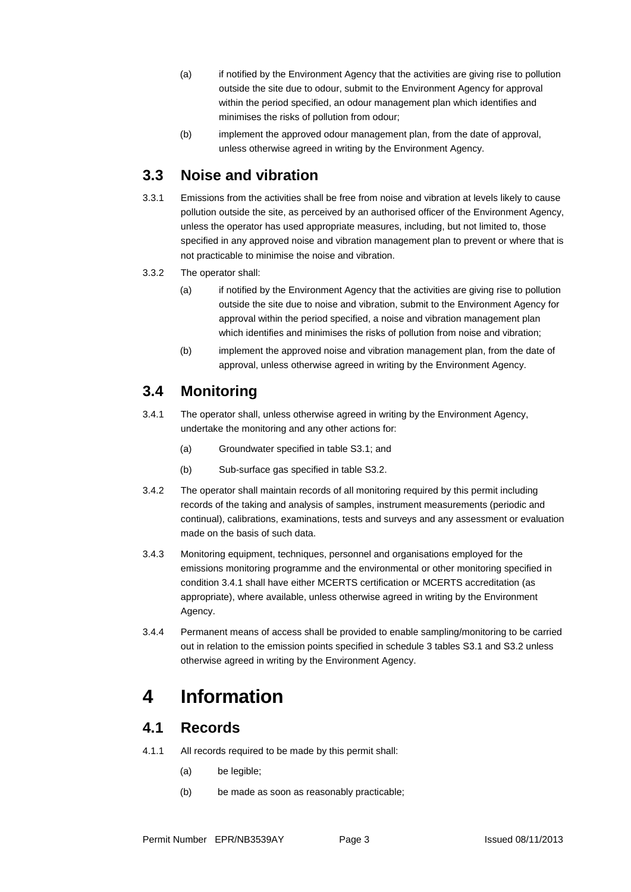- (a) if notified by the Environment Agency that the activities are giving rise to pollution outside the site due to odour, submit to the Environment Agency for approval within the period specified, an odour management plan which identifies and minimises the risks of pollution from odour;
- (b) implement the approved odour management plan, from the date of approval, unless otherwise agreed in writing by the Environment Agency.

#### **3.3 Noise and vibration**

- 3.3.1 Emissions from the activities shall be free from noise and vibration at levels likely to cause pollution outside the site, as perceived by an authorised officer of the Environment Agency, unless the operator has used appropriate measures, including, but not limited to, those specified in any approved noise and vibration management plan to prevent or where that is not practicable to minimise the noise and vibration.
- 3.3.2 The operator shall:
	- (a) if notified by the Environment Agency that the activities are giving rise to pollution outside the site due to noise and vibration, submit to the Environment Agency for approval within the period specified, a noise and vibration management plan which identifies and minimises the risks of pollution from noise and vibration;
	- (b) implement the approved noise and vibration management plan, from the date of approval, unless otherwise agreed in writing by the Environment Agency.

### **3.4 Monitoring**

- 3.4.1 The operator shall, unless otherwise agreed in writing by the Environment Agency, undertake the monitoring and any other actions for:
	- (a) Groundwater specified in table S3.1; and
	- (b) Sub-surface gas specified in table S3.2.
- 3.4.2 The operator shall maintain records of all monitoring required by this permit including records of the taking and analysis of samples, instrument measurements (periodic and continual), calibrations, examinations, tests and surveys and any assessment or evaluation made on the basis of such data.
- 3.4.3 Monitoring equipment, techniques, personnel and organisations employed for the emissions monitoring programme and the environmental or other monitoring specified in condition 3.4.1 shall have either MCERTS certification or MCERTS accreditation (as appropriate), where available, unless otherwise agreed in writing by the Environment Agency.
- 3.4.4 Permanent means of access shall be provided to enable sampling/monitoring to be carried out in relation to the emission points specified in schedule 3 tables S3.1 and S3.2 unless otherwise agreed in writing by the Environment Agency.

### **4 Information**

#### **4.1 Records**

- 4.1.1 All records required to be made by this permit shall:
	- (a) be legible;
	- (b) be made as soon as reasonably practicable;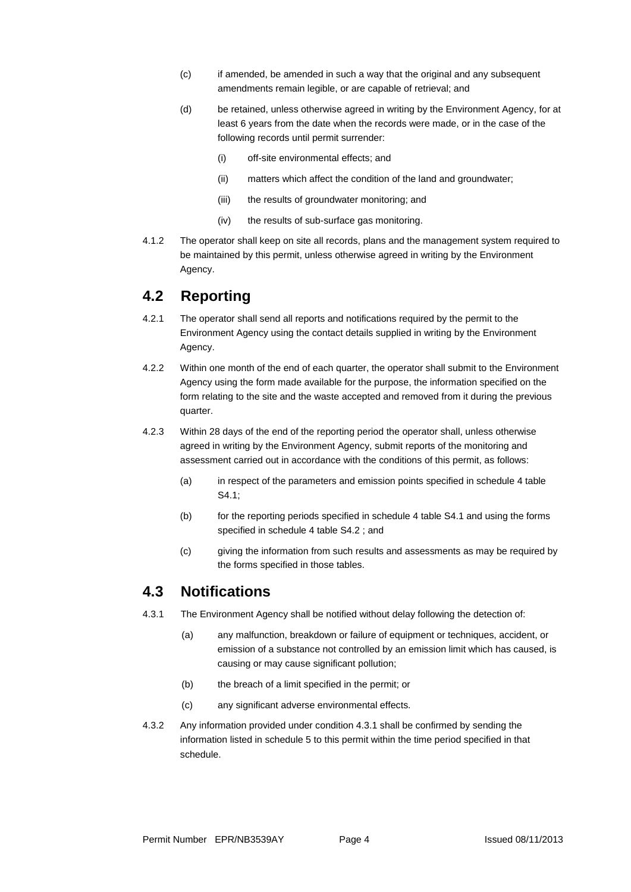- (c) if amended, be amended in such a way that the original and any subsequent amendments remain legible, or are capable of retrieval; and
- (d) be retained, unless otherwise agreed in writing by the Environment Agency, for at least 6 years from the date when the records were made, or in the case of the following records until permit surrender:
	- (i) off-site environmental effects; and
	- (ii) matters which affect the condition of the land and groundwater;
	- (iii) the results of groundwater monitoring; and
	- (iv) the results of sub-surface gas monitoring.
- 4.1.2 The operator shall keep on site all records, plans and the management system required to be maintained by this permit, unless otherwise agreed in writing by the Environment Agency.

#### **4.2 Reporting**

- 4.2.1 The operator shall send all reports and notifications required by the permit to the Environment Agency using the contact details supplied in writing by the Environment Agency.
- 4.2.2 Within one month of the end of each quarter, the operator shall submit to the Environment Agency using the form made available for the purpose, the information specified on the form relating to the site and the waste accepted and removed from it during the previous quarter.
- 4.2.3 Within 28 days of the end of the reporting period the operator shall, unless otherwise agreed in writing by the Environment Agency, submit reports of the monitoring and assessment carried out in accordance with the conditions of this permit, as follows:
	- (a) in respect of the parameters and emission points specified in schedule 4 table S4.1;
	- (b) for the reporting periods specified in schedule 4 table S4.1 and using the forms specified in schedule 4 table S4.2 ; and
	- (c) giving the information from such results and assessments as may be required by the forms specified in those tables.

#### **4.3 Notifications**

- 4.3.1 The Environment Agency shall be notified without delay following the detection of:
	- (a) any malfunction, breakdown or failure of equipment or techniques, accident, or emission of a substance not controlled by an emission limit which has caused, is causing or may cause significant pollution;
	- (b) the breach of a limit specified in the permit; or
	- (c) any significant adverse environmental effects.
- 4.3.2 Any information provided under condition 4.3.1 shall be confirmed by sending the information listed in schedule 5 to this permit within the time period specified in that schedule.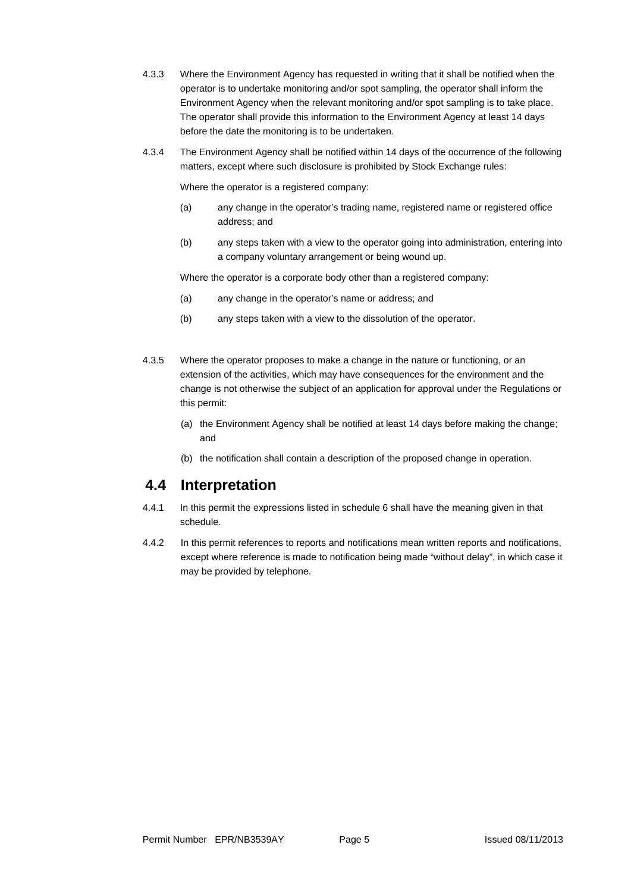- 4.3.3 Where the Environment Agency has requested in writing that it shall be notified when the operator is to undertake monitoring and/or spot sampling, the operator shall inform the Environment Agency when the relevant monitoring and/or spot sampling is to take place. The operator shall provide this information to the Environment Agency at least 14 days before the date the monitoring is to be undertaken.
- 4.3.4 The Environment Agency shall be notified within 14 days of the occurrence of the following matters, except where such disclosure is prohibited by Stock Exchange rules:

Where the operator is a registered company:

- (a) any change in the operator's trading name, registered name or registered office address; and
- (b) any steps taken with a view to the operator going into administration, entering into a company voluntary arrangement or being wound up.

Where the operator is a corporate body other than a registered company:

- (a) any change in the operator's name or address; and
- (b) any steps taken with a view to the dissolution of the operator.
- 4.3.5 Where the operator proposes to make a change in the nature or functioning, or an extension of the activities, which may have consequences for the environment and the change is not otherwise the subject of an application for approval under the Regulations or this permit:
	- (a) the Environment Agency shall be notified at least 14 days before making the change; and
	- (b) the notification shall contain a description of the proposed change in operation.

#### **4.4 Interpretation**

- 4.4.1 In this permit the expressions listed in schedule 6 shall have the meaning given in that schedule.
- 4.4.2 In this permit references to reports and notifications mean written reports and notifications, except where reference is made to notification being made "without delay", in which case it may be provided by telephone.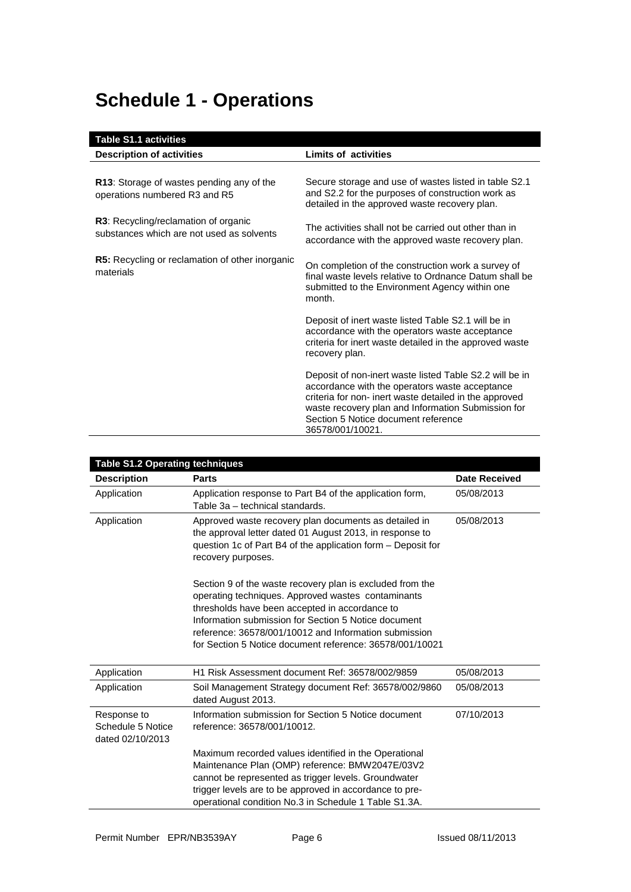# **Schedule 1 - Operations**

| <b>Table S1.1 activities</b>                                                             |                                                                                                                                                                                                                                                                                      |  |  |
|------------------------------------------------------------------------------------------|--------------------------------------------------------------------------------------------------------------------------------------------------------------------------------------------------------------------------------------------------------------------------------------|--|--|
| <b>Description of activities</b>                                                         | <b>Limits of activities</b>                                                                                                                                                                                                                                                          |  |  |
| R13: Storage of wastes pending any of the<br>operations numbered R3 and R5               | Secure storage and use of wastes listed in table S2.1<br>and S2.2 for the purposes of construction work as<br>detailed in the approved waste recovery plan.                                                                                                                          |  |  |
| <b>R3:</b> Recycling/reclamation of organic<br>substances which are not used as solvents | The activities shall not be carried out other than in<br>accordance with the approved waste recovery plan.                                                                                                                                                                           |  |  |
| <b>R5:</b> Recycling or reclamation of other inorganic<br>materials                      | On completion of the construction work a survey of<br>final waste levels relative to Ordnance Datum shall be<br>submitted to the Environment Agency within one<br>month.                                                                                                             |  |  |
|                                                                                          | Deposit of inert waste listed Table S2.1 will be in<br>accordance with the operators waste acceptance<br>criteria for inert waste detailed in the approved waste<br>recovery plan.                                                                                                   |  |  |
|                                                                                          | Deposit of non-inert waste listed Table S2.2 will be in<br>accordance with the operators waste acceptance<br>criteria for non- inert waste detailed in the approved<br>waste recovery plan and Information Submission for<br>Section 5 Notice document reference<br>36578/001/10021. |  |  |

|                                                      | <b>Table S1.2 Operating techniques</b>                                                                                                                                                                                                                                                                                                         |                      |  |  |  |
|------------------------------------------------------|------------------------------------------------------------------------------------------------------------------------------------------------------------------------------------------------------------------------------------------------------------------------------------------------------------------------------------------------|----------------------|--|--|--|
| <b>Description</b>                                   | <b>Parts</b>                                                                                                                                                                                                                                                                                                                                   | <b>Date Received</b> |  |  |  |
| Application                                          | Application response to Part B4 of the application form,<br>Table 3a - technical standards.                                                                                                                                                                                                                                                    | 05/08/2013           |  |  |  |
| Application                                          | Approved waste recovery plan documents as detailed in<br>the approval letter dated 01 August 2013, in response to<br>question 1c of Part B4 of the application form – Deposit for<br>recovery purposes.                                                                                                                                        |                      |  |  |  |
|                                                      | Section 9 of the waste recovery plan is excluded from the<br>operating techniques. Approved wastes contaminants<br>thresholds have been accepted in accordance to<br>Information submission for Section 5 Notice document<br>reference: 36578/001/10012 and Information submission<br>for Section 5 Notice document reference: 36578/001/10021 |                      |  |  |  |
| Application                                          | H1 Risk Assessment document Ref: 36578/002/9859                                                                                                                                                                                                                                                                                                | 05/08/2013           |  |  |  |
| Application                                          | Soil Management Strategy document Ref: 36578/002/9860<br>dated August 2013.                                                                                                                                                                                                                                                                    | 05/08/2013           |  |  |  |
| Response to<br>Schedule 5 Notice<br>dated 02/10/2013 | Information submission for Section 5 Notice document<br>reference: 36578/001/10012.                                                                                                                                                                                                                                                            | 07/10/2013           |  |  |  |
|                                                      | Maximum recorded values identified in the Operational<br>Maintenance Plan (OMP) reference: BMW2047E/03V2<br>cannot be represented as trigger levels. Groundwater<br>trigger levels are to be approved in accordance to pre-<br>operational condition No.3 in Schedule 1 Table S1.3A.                                                           |                      |  |  |  |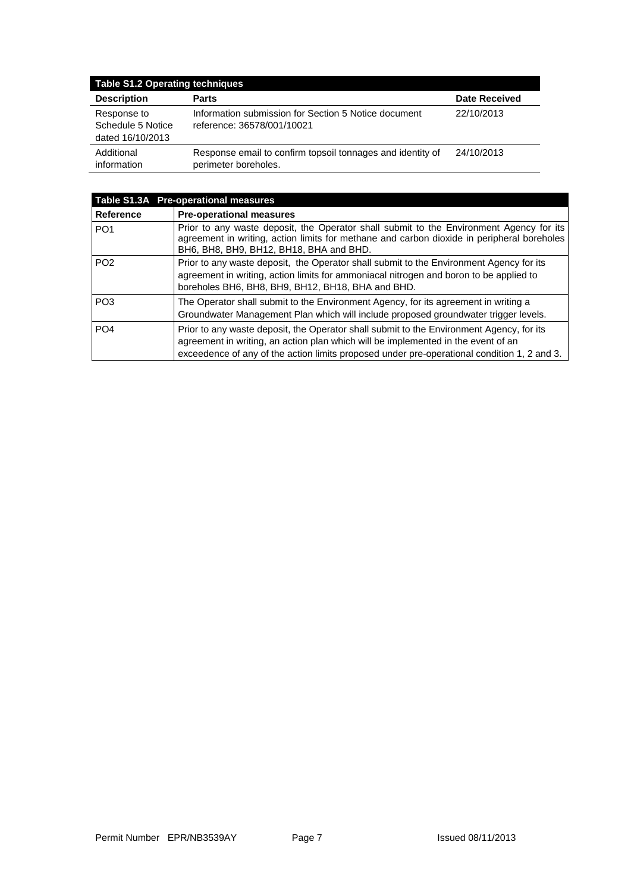| <b>Table S1.2 Operating techniques</b>               |                                                                                    |                      |  |  |
|------------------------------------------------------|------------------------------------------------------------------------------------|----------------------|--|--|
| <b>Description</b>                                   | Parts                                                                              | <b>Date Received</b> |  |  |
| Response to<br>Schedule 5 Notice<br>dated 16/10/2013 | Information submission for Section 5 Notice document<br>reference: 36578/001/10021 | 22/10/2013           |  |  |
| Additional<br>information                            | Response email to confirm topsoil tonnages and identity of<br>perimeter boreholes. | 24/10/2013           |  |  |

| Table S1.3A Pre-operational measures |                                                                                                                                                                                                                                                                              |  |  |  |
|--------------------------------------|------------------------------------------------------------------------------------------------------------------------------------------------------------------------------------------------------------------------------------------------------------------------------|--|--|--|
| <b>Reference</b>                     | <b>Pre-operational measures</b>                                                                                                                                                                                                                                              |  |  |  |
| PO <sub>1</sub>                      | Prior to any waste deposit, the Operator shall submit to the Environment Agency for its<br>agreement in writing, action limits for methane and carbon dioxide in peripheral boreholes<br>BH6, BH8, BH9, BH12, BH18, BHA and BHD.                                             |  |  |  |
| PO <sub>2</sub>                      | Prior to any waste deposit, the Operator shall submit to the Environment Agency for its<br>agreement in writing, action limits for ammoniacal nitrogen and boron to be applied to<br>boreholes BH6, BH8, BH9, BH12, BH18, BHA and BHD.                                       |  |  |  |
| PO <sub>3</sub>                      | The Operator shall submit to the Environment Agency, for its agreement in writing a<br>Groundwater Management Plan which will include proposed groundwater trigger levels.                                                                                                   |  |  |  |
| PO <sub>4</sub>                      | Prior to any waste deposit, the Operator shall submit to the Environment Agency, for its<br>agreement in writing, an action plan which will be implemented in the event of an<br>exceedence of any of the action limits proposed under pre-operational condition 1, 2 and 3. |  |  |  |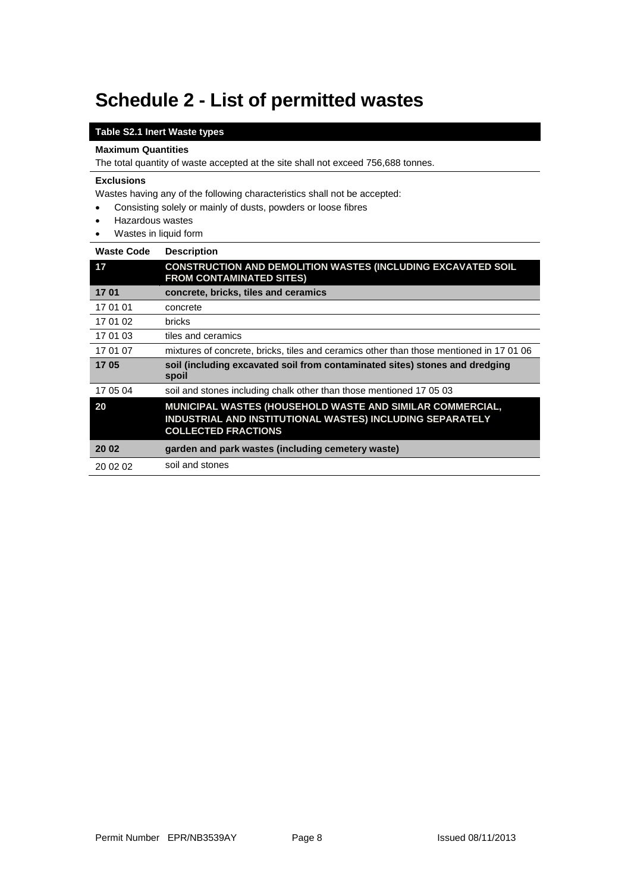# **Schedule 2 - List of permitted wastes**

#### **Table S2.1 Inert Waste types**

#### **Maximum Quantities**

The total quantity of waste accepted at the site shall not exceed 756,688 tonnes.

#### **Exclusions**

Wastes having any of the following characteristics shall not be accepted:

- Consisting solely or mainly of dusts, powders or loose fibres
- Hazardous wastes
- Wastes in liquid form

| Waste Code | <b>Description</b>                                                                                                                                   |
|------------|------------------------------------------------------------------------------------------------------------------------------------------------------|
| 17         | <b>CONSTRUCTION AND DEMOLITION WASTES (INCLUDING EXCAVATED SOIL</b><br><b>FROM CONTAMINATED SITES)</b>                                               |
| 1701       | concrete, bricks, tiles and ceramics                                                                                                                 |
| 17 01 01   | concrete                                                                                                                                             |
| 17 01 02   | bricks                                                                                                                                               |
| 17 01 03   | tiles and ceramics                                                                                                                                   |
| 17 01 07   | mixtures of concrete, bricks, tiles and ceramics other than those mentioned in 17 01 06                                                              |
| 1705       | soil (including excavated soil from contaminated sites) stones and dredging<br>spoil                                                                 |
| 17 05 04   | soil and stones including chalk other than those mentioned 17 05 03                                                                                  |
| 20         | MUNICIPAL WASTES (HOUSEHOLD WASTE AND SIMILAR COMMERCIAL,<br>INDUSTRIAL AND INSTITUTIONAL WASTES) INCLUDING SEPARATELY<br><b>COLLECTED FRACTIONS</b> |
| 20 02      | garden and park wastes (including cemetery waste)                                                                                                    |
| 20 02 02   | soil and stones                                                                                                                                      |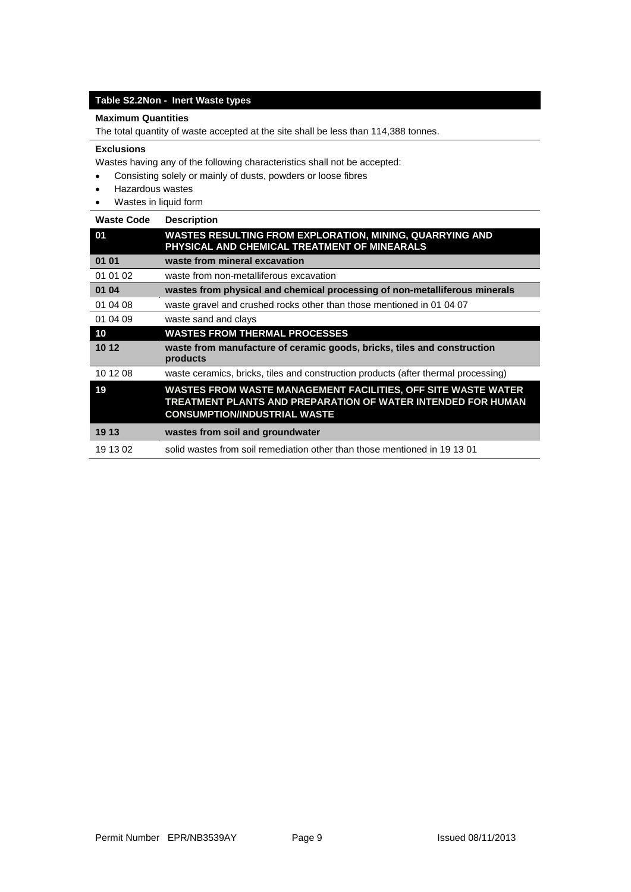#### **Table S2.2Non - Inert Waste types**

#### **Maximum Quantities**

The total quantity of waste accepted at the site shall be less than 114,388 tonnes.

#### **Exclusions**

Wastes having any of the following characteristics shall not be accepted:

- Consisting solely or mainly of dusts, powders or loose fibres
- Hazardous wastes
- Wastes in liquid form

#### **Waste Code Description**

| 01       | <b>WASTES RESULTING FROM EXPLORATION, MINING, QUARRYING AND</b><br>PHYSICAL AND CHEMICAL TREATMENT OF MINEARALS                                                      |  |  |
|----------|----------------------------------------------------------------------------------------------------------------------------------------------------------------------|--|--|
| 01 01    | waste from mineral excavation                                                                                                                                        |  |  |
| 01 01 02 | waste from non-metalliferous excavation                                                                                                                              |  |  |
| 01 04    | wastes from physical and chemical processing of non-metalliferous minerals                                                                                           |  |  |
| 01 04 08 | waste gravel and crushed rocks other than those mentioned in 01 04 07                                                                                                |  |  |
| 01 04 09 | waste sand and clays                                                                                                                                                 |  |  |
| 10       | <b>WASTES FROM THERMAL PROCESSES</b>                                                                                                                                 |  |  |
| 10 12    | waste from manufacture of ceramic goods, bricks, tiles and construction<br>products                                                                                  |  |  |
| 10 12 08 | waste ceramics, bricks, tiles and construction products (after thermal processing)                                                                                   |  |  |
| 19       | WASTES FROM WASTE MANAGEMENT FACILITIES, OFF SITE WASTE WATER<br>TREATMENT PLANTS AND PREPARATION OF WATER INTENDED FOR HUMAN<br><b>CONSUMPTION/INDUSTRIAL WASTE</b> |  |  |
| 19 13    | wastes from soil and groundwater                                                                                                                                     |  |  |
| 19 13 02 | solid wastes from soil remediation other than those mentioned in 19 13 01                                                                                            |  |  |
|          |                                                                                                                                                                      |  |  |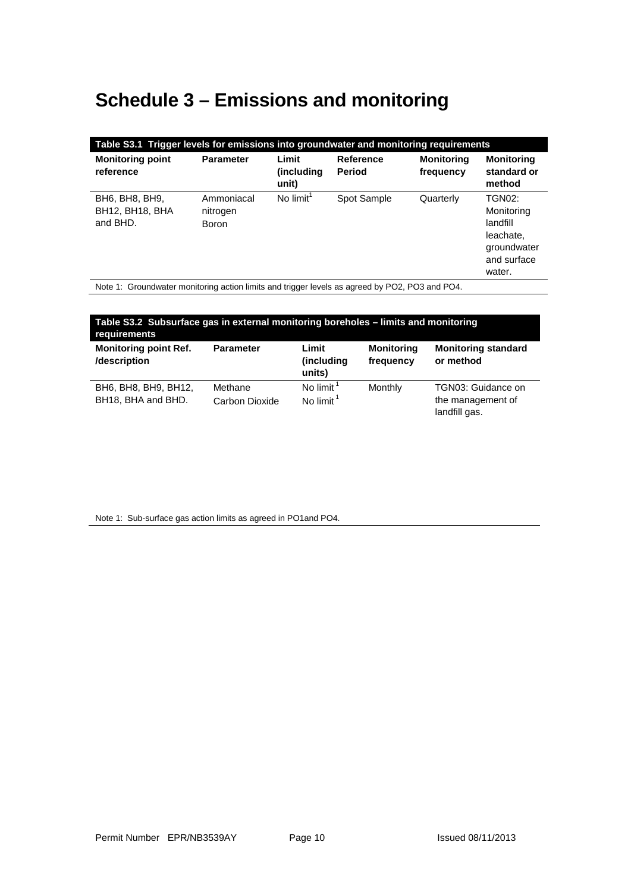# **Schedule 3 – Emissions and monitoring**

| Table S3.1 Trigger levels for emissions into groundwater and monitoring requirements |                                        |                               |                                   |                                |                                                                                              |
|--------------------------------------------------------------------------------------|----------------------------------------|-------------------------------|-----------------------------------|--------------------------------|----------------------------------------------------------------------------------------------|
| <b>Monitoring point</b><br>reference                                                 | <b>Parameter</b>                       | Limit<br>(including)<br>unit) | <b>Reference</b><br><b>Period</b> | <b>Monitoring</b><br>frequency | <b>Monitoring</b><br>standard or<br>method                                                   |
| BH6, BH8, BH9,<br><b>BH12, BH18, BHA</b><br>and BHD.                                 | Ammoniacal<br>nitrogen<br><b>Boron</b> | No $limit1$                   | Spot Sample                       | Quarterly                      | <b>TGN02:</b><br>Monitoring<br>landfill<br>leachate,<br>groundwater<br>and surface<br>water. |

Note 1: Groundwater monitoring action limits and trigger levels as agreed by PO2, PO3 and PO4.

| Table S3.2 Subsurface gas in external monitoring boreholes – limits and monitoring<br>requirements |                           |                                       |                                |                                                          |
|----------------------------------------------------------------------------------------------------|---------------------------|---------------------------------------|--------------------------------|----------------------------------------------------------|
| <b>Monitoring point Ref.</b><br>/description                                                       | <b>Parameter</b>          | Limit<br>(including<br>units)         | <b>Monitoring</b><br>frequency | <b>Monitoring standard</b><br>or method                  |
| BH6, BH8, BH9, BH12,<br>BH18, BHA and BHD.                                                         | Methane<br>Carbon Dioxide | No limit $1$<br>No limit <sup>1</sup> | Monthly                        | TGN03: Guidance on<br>the management of<br>landfill gas. |

Note 1: Sub-surface gas action limits as agreed in PO1and PO4.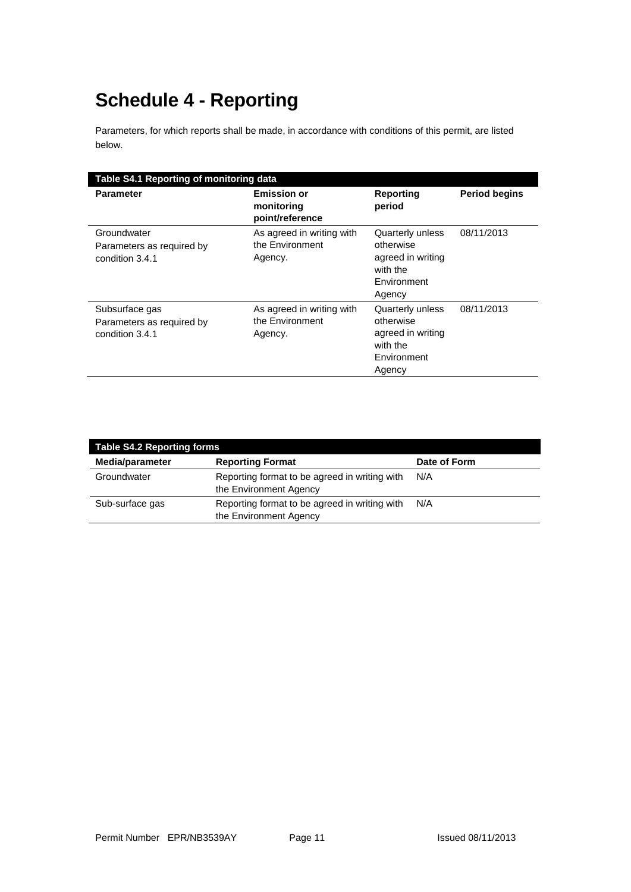# **Schedule 4 - Reporting**

Parameters, for which reports shall be made, in accordance with conditions of this permit, are listed below.

|                                                                | Table S4.1 Reporting of monitoring data                 |                                                                                         |                      |  |  |
|----------------------------------------------------------------|---------------------------------------------------------|-----------------------------------------------------------------------------------------|----------------------|--|--|
| <b>Parameter</b>                                               | <b>Emission or</b><br>monitoring<br>point/reference     | Reporting<br>period                                                                     | <b>Period begins</b> |  |  |
| Groundwater<br>Parameters as required by<br>condition 3.4.1    | As agreed in writing with<br>the Environment<br>Agency. | Quarterly unless<br>otherwise<br>agreed in writing<br>with the<br>Environment<br>Agency | 08/11/2013           |  |  |
| Subsurface gas<br>Parameters as required by<br>condition 3.4.1 | As agreed in writing with<br>the Environment<br>Agency. | Quarterly unless<br>otherwise<br>agreed in writing<br>with the<br>Environment<br>Agency | 08/11/2013           |  |  |

| <b>Table S4.2 Reporting forms</b> |                                                                         |              |
|-----------------------------------|-------------------------------------------------------------------------|--------------|
| Media/parameter                   | <b>Reporting Format</b>                                                 | Date of Form |
| Groundwater                       | Reporting format to be agreed in writing with<br>the Environment Agency | N/A          |
| Sub-surface gas                   | Reporting format to be agreed in writing with<br>the Environment Agency | N/A          |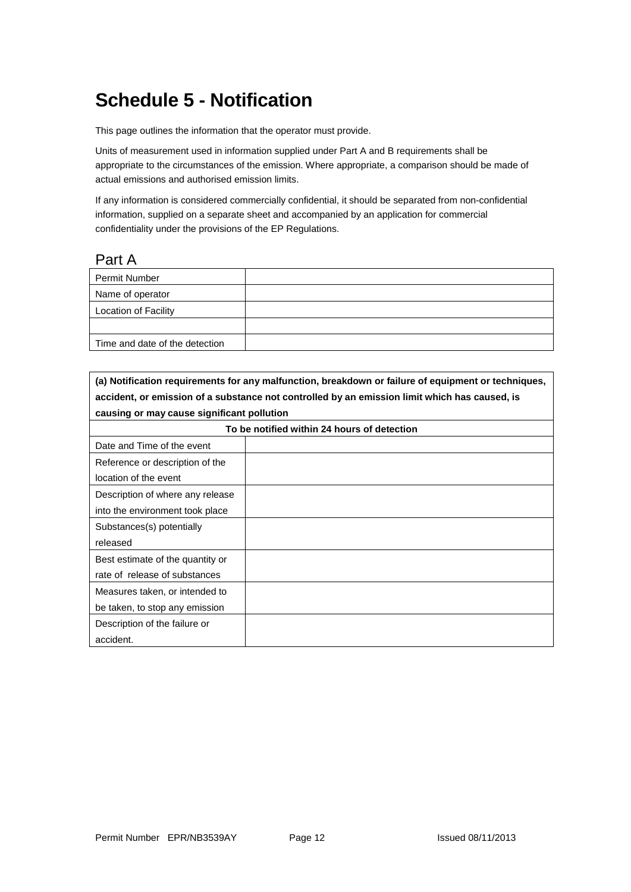## **Schedule 5 - Notification**

This page outlines the information that the operator must provide.

Units of measurement used in information supplied under Part A and B requirements shall be appropriate to the circumstances of the emission. Where appropriate, a comparison should be made of actual emissions and authorised emission limits.

If any information is considered commercially confidential, it should be separated from non-confidential information, supplied on a separate sheet and accompanied by an application for commercial confidentiality under the provisions of the EP Regulations.

#### Part A

| <b>Permit Number</b>           |  |
|--------------------------------|--|
| Name of operator               |  |
| Location of Facility           |  |
|                                |  |
| Time and date of the detection |  |

**(a) Notification requirements for any malfunction, breakdown or failure of equipment or techniques, accident, or emission of a substance not controlled by an emission limit which has caused, is causing or may cause significant pollution**

| To be notified within 24 hours of detection |  |  |
|---------------------------------------------|--|--|
| Date and Time of the event                  |  |  |
| Reference or description of the             |  |  |
| location of the event                       |  |  |
| Description of where any release            |  |  |
| into the environment took place             |  |  |
| Substances(s) potentially                   |  |  |
| released                                    |  |  |
| Best estimate of the quantity or            |  |  |
| rate of release of substances               |  |  |
| Measures taken, or intended to              |  |  |
| be taken, to stop any emission              |  |  |
| Description of the failure or               |  |  |
| accident.                                   |  |  |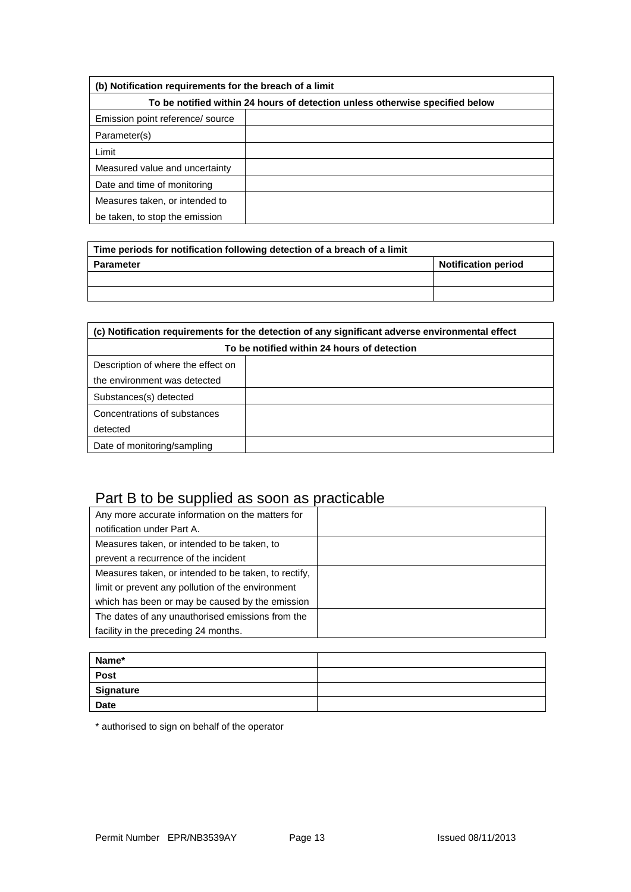| (b) Notification requirements for the breach of a limit                      |  |  |
|------------------------------------------------------------------------------|--|--|
| To be notified within 24 hours of detection unless otherwise specified below |  |  |
| Emission point reference/ source                                             |  |  |
| Parameter(s)                                                                 |  |  |
| Limit                                                                        |  |  |
| Measured value and uncertainty                                               |  |  |
| Date and time of monitoring                                                  |  |  |
| Measures taken, or intended to                                               |  |  |
| be taken, to stop the emission                                               |  |  |

| Time periods for notification following detection of a breach of a limit |                            |
|--------------------------------------------------------------------------|----------------------------|
| <b>Parameter</b>                                                         | <b>Notification period</b> |
|                                                                          |                            |
|                                                                          |                            |

| (c) Notification requirements for the detection of any significant adverse environmental effect |  |
|-------------------------------------------------------------------------------------------------|--|
| To be notified within 24 hours of detection                                                     |  |
| Description of where the effect on                                                              |  |
| the environment was detected                                                                    |  |
| Substances(s) detected                                                                          |  |
| Concentrations of substances                                                                    |  |
| detected                                                                                        |  |
| Date of monitoring/sampling                                                                     |  |

# Part B to be supplied as soon as practicable

| Any more accurate information on the matters for     |  |
|------------------------------------------------------|--|
| notification under Part A.                           |  |
| Measures taken, or intended to be taken, to          |  |
| prevent a recurrence of the incident                 |  |
| Measures taken, or intended to be taken, to rectify, |  |
| limit or prevent any pollution of the environment    |  |
| which has been or may be caused by the emission      |  |
| The dates of any unauthorised emissions from the     |  |
| facility in the preceding 24 months.                 |  |

| Name*       |  |
|-------------|--|
| Post        |  |
| Signature   |  |
| <b>Date</b> |  |

\* authorised to sign on behalf of the operator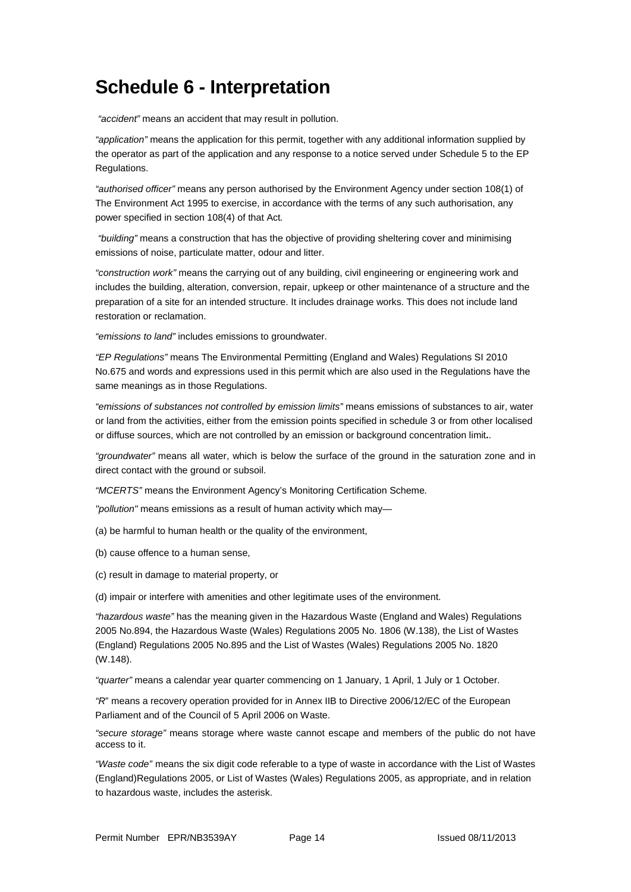## **Schedule 6 - Interpretation**

*"accident"* means an accident that may result in pollution.

*"application"* means the application for this permit, together with any additional information supplied by the operator as part of the application and any response to a notice served under Schedule 5 to the EP Regulations.

*"authorised officer"* means any person authorised by the Environment Agency under section 108(1) of The Environment Act 1995 to exercise, in accordance with the terms of any such authorisation, any power specified in section 108(4) of that Act*.*

*"building"* means a construction that has the objective of providing sheltering cover and minimising emissions of noise, particulate matter, odour and litter.

*"construction work"* means the carrying out of any building, civil engineering or engineering work and includes the building, alteration, conversion, repair, upkeep or other maintenance of a structure and the preparation of a site for an intended structure. It includes drainage works. This does not include land restoration or reclamation.

*"emissions to land"* includes emissions to groundwater.

*"EP Regulations"* means The Environmental Permitting (England and Wales) Regulations SI 2010 No.675 and words and expressions used in this permit which are also used in the Regulations have the same meanings as in those Regulations.

*"emissions of substances not controlled by emission limits"* means emissions of substances to air, water or land from the activities, either from the emission points specified in schedule 3 or from other localised or diffuse sources, which are not controlled by an emission or background concentration limit**.**.

*"groundwater"* means all water, which is below the surface of the ground in the saturation zone and in direct contact with the ground or subsoil.

*"MCERTS"* means the Environment Agency's Monitoring Certification Scheme*.*

*"pollution"* means emissions as a result of human activity which may—

(a) be harmful to human health or the quality of the environment,

(b) cause offence to a human sense,

(c) result in damage to material property, or

(d) impair or interfere with amenities and other legitimate uses of the environment.

*"hazardous waste"* has the meaning given in the Hazardous Waste (England and Wales) Regulations 2005 No.894, the Hazardous Waste (Wales) Regulations 2005 No. 1806 (W.138), the List of Wastes (England) Regulations 2005 No.895 and the List of Wastes (Wales) Regulations 2005 No. 1820 (W.148).

*"quarter"* means a calendar year quarter commencing on 1 January, 1 April, 1 July or 1 October.

*"R*" means a recovery operation provided for in Annex IIB to Directive 2006/12/EC of the European Parliament and of the Council of 5 April 2006 on Waste.

*"secure storage"* means storage where waste cannot escape and members of the public do not have access to it.

*"Waste code"* means the six digit code referable to a type of waste in accordance with the List of Wastes (England)Regulations 2005, or List of Wastes (Wales) Regulations 2005, as appropriate, and in relation to hazardous waste, includes the asterisk.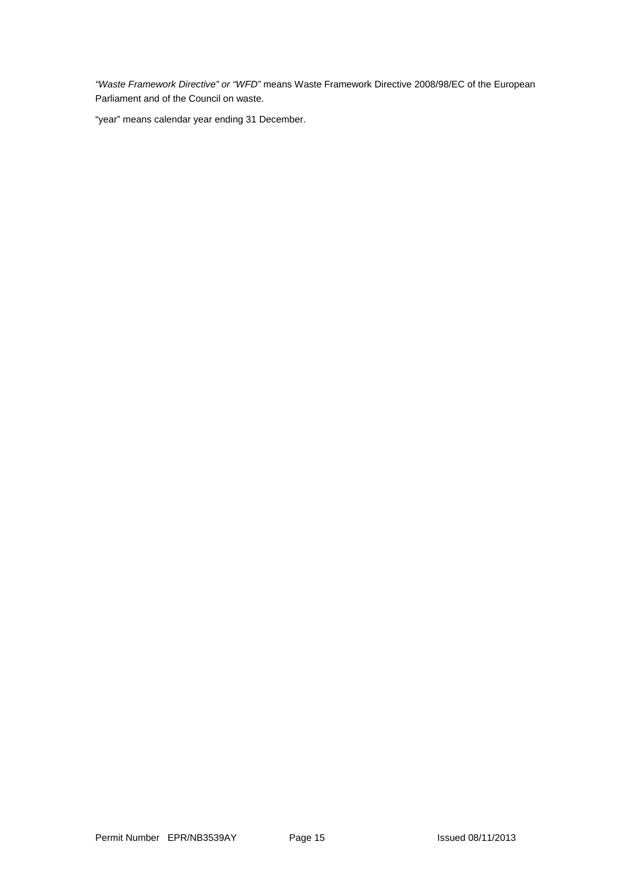*"Waste Framework Directive" or "WFD"* means Waste Framework Directive 2008/98/EC of the European Parliament and of the Council on waste.

"year" means calendar year ending 31 December.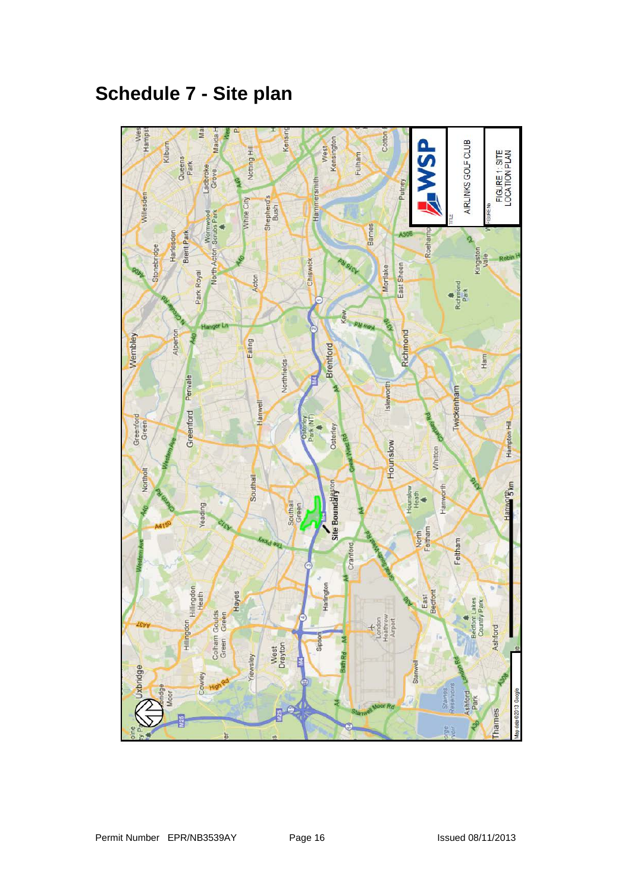# **Schedule 7 - Site plan**